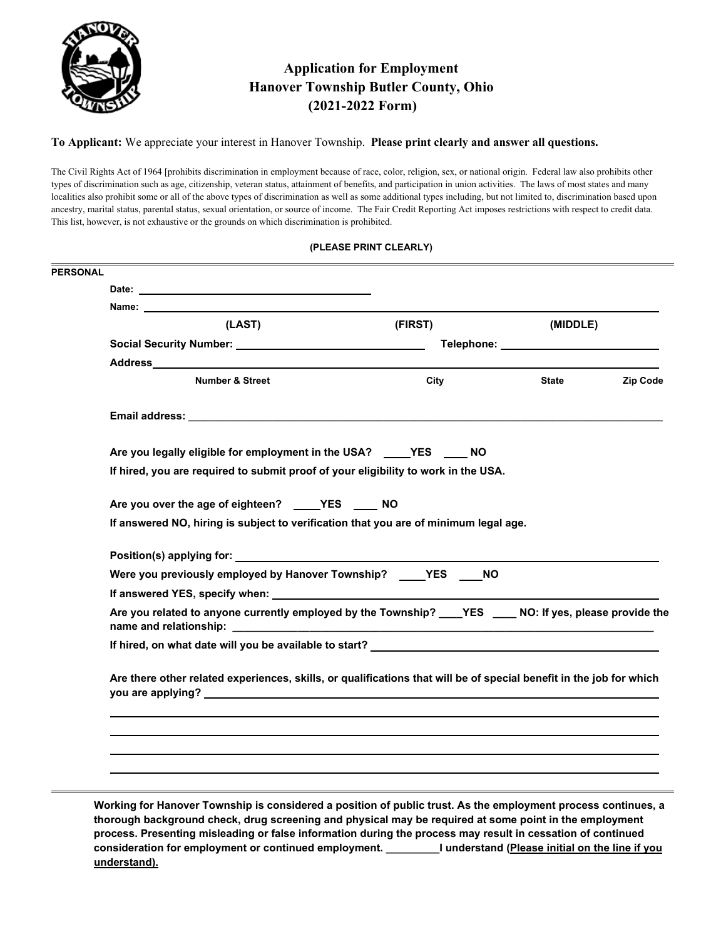

# **Application for Employment Hanover Township Butler County, Ohio (2021-2022 Form)**

**To Applicant:** We appreciate your interest in Hanover Township. **Please print clearly and answer all questions.** 

The Civil Rights Act of 1964 [prohibits discrimination in employment because of race, color, religion, sex, or national origin. Federal law also prohibits other types of discrimination such as age, citizenship, veteran status, attainment of benefits, and participation in union activities. The laws of most states and many localities also prohibit some or all of the above types of discrimination as well as some additional types including, but not limited to, discrimination based upon ancestry, marital status, parental status, sexual orientation, or source of income. The Fair Credit Reporting Act imposes restrictions with respect to credit data. This list, however, is not exhaustive or the grounds on which discrimination is prohibited.

| (PLEASE PRINT CLEARLY) |
|------------------------|
|------------------------|

| (LAST)                                                                                                                                                                                                                                                                                                                                                | (FIRST) | (MIDDLE)                 |
|-------------------------------------------------------------------------------------------------------------------------------------------------------------------------------------------------------------------------------------------------------------------------------------------------------------------------------------------------------|---------|--------------------------|
|                                                                                                                                                                                                                                                                                                                                                       |         |                          |
|                                                                                                                                                                                                                                                                                                                                                       |         |                          |
| <b>Number &amp; Street</b>                                                                                                                                                                                                                                                                                                                            | City    | <b>Zip Code</b><br>State |
|                                                                                                                                                                                                                                                                                                                                                       |         |                          |
| Are you legally eligible for employment in the USA? _____ YES _____ NO                                                                                                                                                                                                                                                                                |         |                          |
| If hired, you are required to submit proof of your eligibility to work in the USA.                                                                                                                                                                                                                                                                    |         |                          |
| Are you over the age of eighteen? ____YES ___ NO                                                                                                                                                                                                                                                                                                      |         |                          |
| If answered NO, hiring is subject to verification that you are of minimum legal age.                                                                                                                                                                                                                                                                  |         |                          |
|                                                                                                                                                                                                                                                                                                                                                       |         |                          |
| Were you previously employed by Hanover Township? _____YES NO                                                                                                                                                                                                                                                                                         |         |                          |
|                                                                                                                                                                                                                                                                                                                                                       |         |                          |
| Are you related to anyone currently employed by the Township? _____YES _______NO: If yes, please provide the                                                                                                                                                                                                                                          |         |                          |
| If hired, on what date will you be available to start? __________________________                                                                                                                                                                                                                                                                     |         |                          |
| Are there other related experiences, skills, or qualifications that will be of special benefit in the job for which<br>you are applying? The contract of the contract of the contract of the contract of the contract of the contract of the contract of the contract of the contract of the contract of the contract of the contract of the contract |         |                          |
|                                                                                                                                                                                                                                                                                                                                                       |         |                          |
|                                                                                                                                                                                                                                                                                                                                                       |         |                          |
|                                                                                                                                                                                                                                                                                                                                                       |         |                          |

**thorough background check, drug screening and physical may be required at some point in the employment process. Presenting misleading or false information during the process may result in cessation of continued consideration for employment or continued employment. \_\_\_\_\_\_\_\_\_I understand (Please initial on the line if you understand).**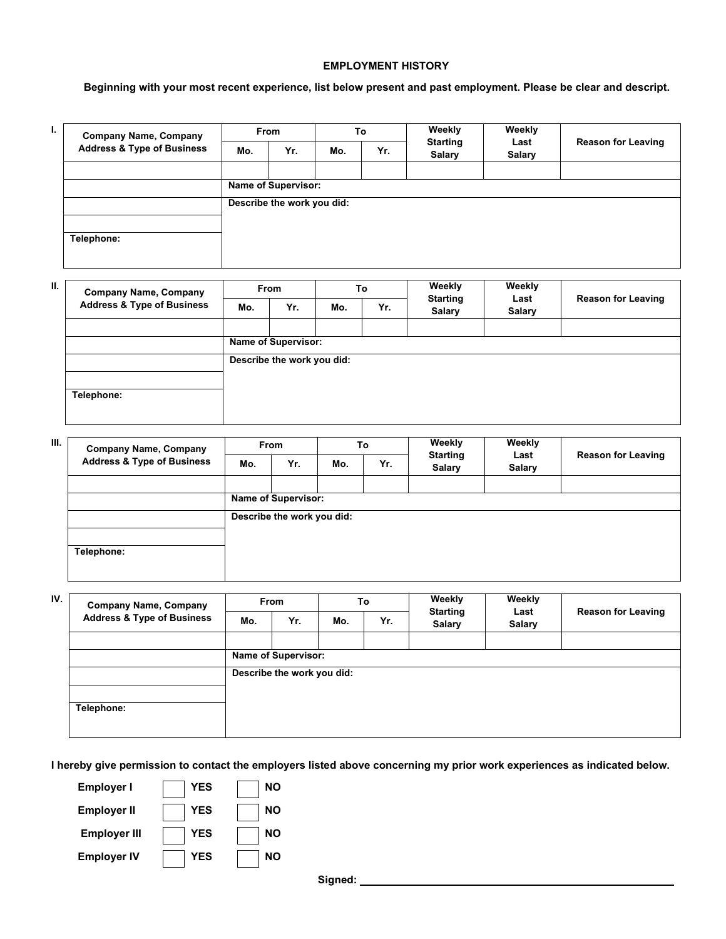#### **EMPLOYMENT HISTORY**

### **Beginning with your most recent experience, list below present and past employment. Please be clear and descript.**

| ı. | <b>Company Name, Company</b>          | <b>From</b>                |     | To  |     | Weekly                           | Weekly                |                           |
|----|---------------------------------------|----------------------------|-----|-----|-----|----------------------------------|-----------------------|---------------------------|
|    | <b>Address &amp; Type of Business</b> | Mo.                        | Yr. | Mo. | Yr. | <b>Starting</b><br><b>Salary</b> | Last<br><b>Salary</b> | <b>Reason for Leaving</b> |
|    |                                       |                            |     |     |     |                                  |                       |                           |
|    |                                       | <b>Name of Supervisor:</b> |     |     |     |                                  |                       |                           |
|    |                                       | Describe the work you did: |     |     |     |                                  |                       |                           |
|    |                                       |                            |     |     |     |                                  |                       |                           |
|    | Telephone:                            |                            |     |     |     |                                  |                       |                           |
|    |                                       |                            |     |     |     |                                  |                       |                           |

| <b>Company Name, Company</b>          | <b>From</b> |     | To  |                                                          | Weekly        | Weekly          |                           |
|---------------------------------------|-------------|-----|-----|----------------------------------------------------------|---------------|-----------------|---------------------------|
| <b>Address &amp; Type of Business</b> | Mo.         | Yr. | Mo. | Yr.                                                      | <b>Salary</b> | <b>Salary</b>   | <b>Reason for Leaving</b> |
|                                       |             |     |     |                                                          |               |                 |                           |
|                                       |             |     |     |                                                          |               |                 |                           |
|                                       |             |     |     |                                                          |               |                 |                           |
|                                       |             |     |     |                                                          |               |                 |                           |
| Telephone:                            |             |     |     |                                                          |               |                 |                           |
|                                       |             |     |     |                                                          |               |                 |                           |
|                                       |             |     |     | <b>Name of Supervisor:</b><br>Describe the work you did: |               | <b>Starting</b> | Last                      |

| Ш. | <b>Company Name, Company</b>          | <b>From</b> |                            | To  |     | Weekly                           | Weekly                |                           |
|----|---------------------------------------|-------------|----------------------------|-----|-----|----------------------------------|-----------------------|---------------------------|
|    | <b>Address &amp; Type of Business</b> | Mo.         | Yr.                        | Mo. | Yr. | <b>Starting</b><br><b>Salary</b> | Last<br><b>Salary</b> | <b>Reason for Leaving</b> |
|    |                                       |             |                            |     |     |                                  |                       |                           |
|    |                                       |             | <b>Name of Supervisor:</b> |     |     |                                  |                       |                           |
|    |                                       |             | Describe the work you did: |     |     |                                  |                       |                           |
|    |                                       |             |                            |     |     |                                  |                       |                           |
|    | Telephone:                            |             |                            |     |     |                                  |                       |                           |
|    |                                       |             |                            |     |     |                                  |                       |                           |

| IV. | <b>Company Name, Company</b><br><b>Address &amp; Type of Business</b> | <b>From</b> |                            | To  |     | Weekly                           | Weekly                |                           |
|-----|-----------------------------------------------------------------------|-------------|----------------------------|-----|-----|----------------------------------|-----------------------|---------------------------|
|     |                                                                       | Mo.         | Yr.                        | Mo. | Yr. | <b>Starting</b><br><b>Salary</b> | Last<br><b>Salary</b> | <b>Reason for Leaving</b> |
|     |                                                                       |             |                            |     |     |                                  |                       |                           |
|     |                                                                       |             | <b>Name of Supervisor:</b> |     |     |                                  |                       |                           |
|     |                                                                       |             | Describe the work you did: |     |     |                                  |                       |                           |
|     |                                                                       |             |                            |     |     |                                  |                       |                           |
|     | Telephone:                                                            |             |                            |     |     |                                  |                       |                           |
|     |                                                                       |             |                            |     |     |                                  |                       |                           |

**I hereby give permission to contact the employers listed above concerning my prior work experiences as indicated below.** 

| ΝO |
|----|
| ΝO |
| ΝO |
| NΟ |
|    |

 **Signed:**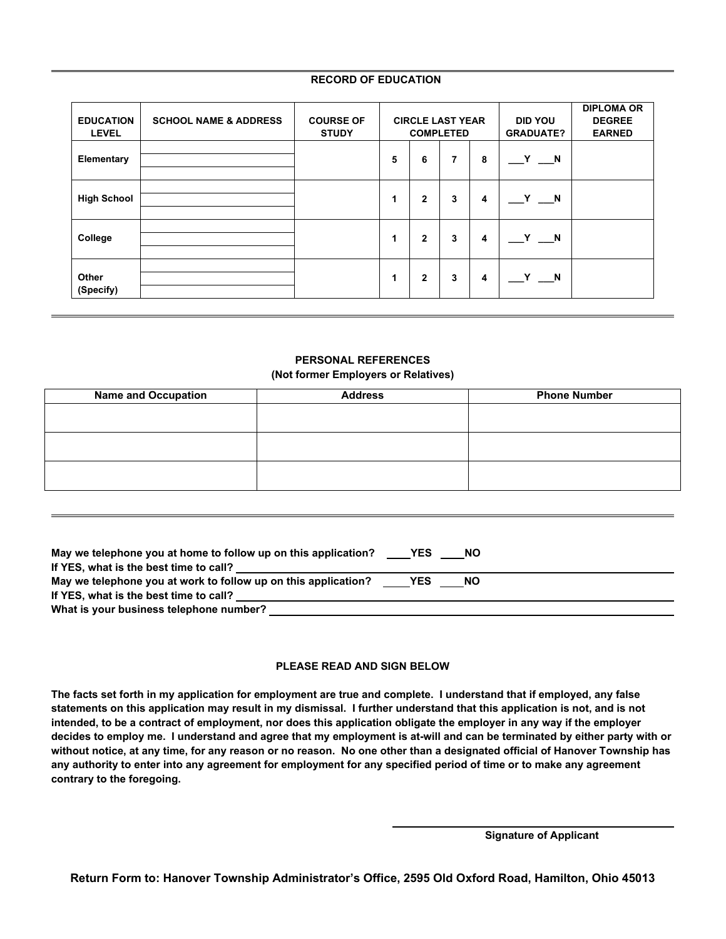#### **RECORD OF EDUCATION**

| <b>EDUCATION</b><br><b>LEVEL</b> | <b>SCHOOL NAME &amp; ADDRESS</b> | <b>COURSE OF</b><br><b>STUDY</b> | <b>CIRCLE LAST YEAR</b><br><b>COMPLETED</b> |                |                |   | <b>DID YOU</b><br><b>GRADUATE?</b> | <b>DIPLOMA OR</b><br><b>DEGREE</b><br><b>EARNED</b> |
|----------------------------------|----------------------------------|----------------------------------|---------------------------------------------|----------------|----------------|---|------------------------------------|-----------------------------------------------------|
| Elementary                       |                                  |                                  | 5                                           | 6              | $\overline{7}$ | 8 | $\mathbf{Y}$<br><b>N</b>           |                                                     |
| <b>High School</b>               |                                  |                                  | 1                                           | $\overline{2}$ | 3              | 4 | Y<br><b>N</b>                      |                                                     |
| College                          |                                  |                                  | 1                                           | $\mathbf{2}$   | 3              | 4 | $Y \_ N$                           |                                                     |
| Other<br>(Specify)               |                                  |                                  | 1                                           | $\mathbf{2}$   | 3              | 4 | $\mathbf{Y}$<br><b>N</b>           |                                                     |

#### **PERSONAL REFERENCES (Not former Employers or Relatives)**

| <b>Address</b> | <b>Phone Number</b> |  |  |
|----------------|---------------------|--|--|
|                |                     |  |  |
|                |                     |  |  |
|                |                     |  |  |
|                |                     |  |  |
|                |                     |  |  |
|                |                     |  |  |
|                |                     |  |  |

| May we telephone you at home to follow up on this application?<br>If YES, what is the best time to call? | <b>EXAMPLE</b> | <b>NO</b> |  |
|----------------------------------------------------------------------------------------------------------|----------------|-----------|--|
| May we telephone you at work to follow up on this application?                                           | <b>EXAMPLE</b> | <b>NO</b> |  |
| If YES, what is the best time to call?                                                                   |                |           |  |
|                                                                                                          |                |           |  |

#### **PLEASE READ AND SIGN BELOW**

**The facts set forth in my application for employment are true and complete. I understand that if employed, any false statements on this application may result in my dismissal. I further understand that this application is not, and is not intended, to be a contract of employment, nor does this application obligate the employer in any way if the employer decides to employ me. I understand and agree that my employment is at-will and can be terminated by either party with or without notice, at any time, for any reason or no reason. No one other than a designated official of Hanover Township has any authority to enter into any agreement for employment for any specified period of time or to make any agreement contrary to the foregoing.** 

|  | <b>Signature of Applicant</b> |
|--|-------------------------------|
|--|-------------------------------|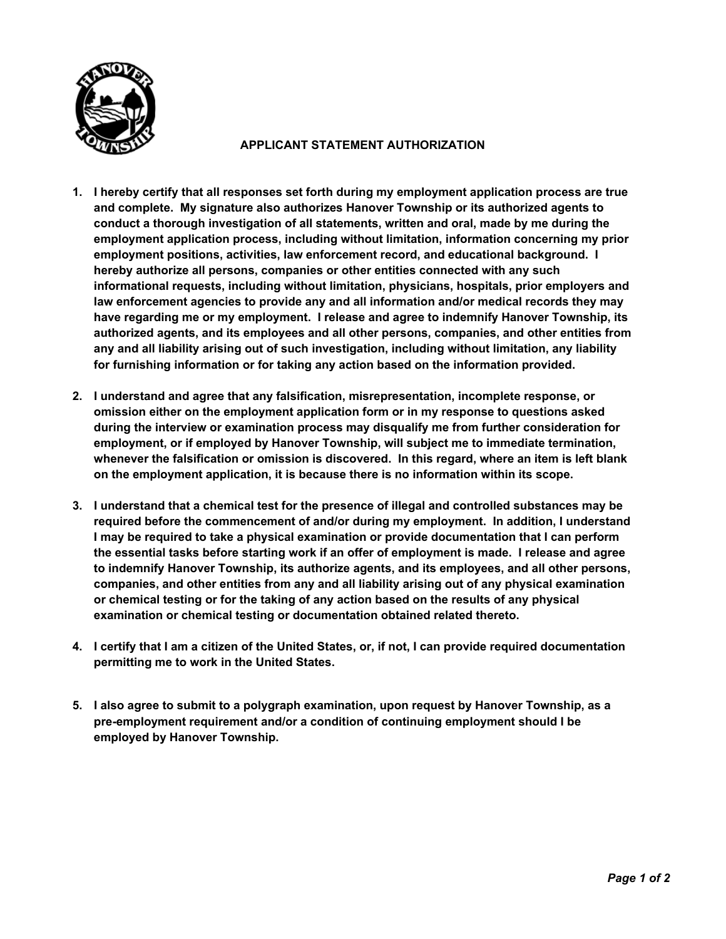

# **APPLICANT STATEMENT AUTHORIZATION**

- **1. I hereby certify that all responses set forth during my employment application process are true and complete. My signature also authorizes Hanover Township or its authorized agents to conduct a thorough investigation of all statements, written and oral, made by me during the employment application process, including without limitation, information concerning my prior employment positions, activities, law enforcement record, and educational background. I hereby authorize all persons, companies or other entities connected with any such informational requests, including without limitation, physicians, hospitals, prior employers and law enforcement agencies to provide any and all information and/or medical records they may have regarding me or my employment. I release and agree to indemnify Hanover Township, its authorized agents, and its employees and all other persons, companies, and other entities from any and all liability arising out of such investigation, including without limitation, any liability for furnishing information or for taking any action based on the information provided.**
- **2. I understand and agree that any falsification, misrepresentation, incomplete response, or omission either on the employment application form or in my response to questions asked during the interview or examination process may disqualify me from further consideration for employment, or if employed by Hanover Township, will subject me to immediate termination, whenever the falsification or omission is discovered. In this regard, where an item is left blank on the employment application, it is because there is no information within its scope.**
- **3. I understand that a chemical test for the presence of illegal and controlled substances may be required before the commencement of and/or during my employment. In addition, I understand I may be required to take a physical examination or provide documentation that I can perform the essential tasks before starting work if an offer of employment is made. I release and agree to indemnify Hanover Township, its authorize agents, and its employees, and all other persons, companies, and other entities from any and all liability arising out of any physical examination or chemical testing or for the taking of any action based on the results of any physical examination or chemical testing or documentation obtained related thereto.**
- **4. I certify that I am a citizen of the United States, or, if not, I can provide required documentation permitting me to work in the United States.**
- **5. I also agree to submit to a polygraph examination, upon request by Hanover Township, as a pre-employment requirement and/or a condition of continuing employment should I be employed by Hanover Township.**